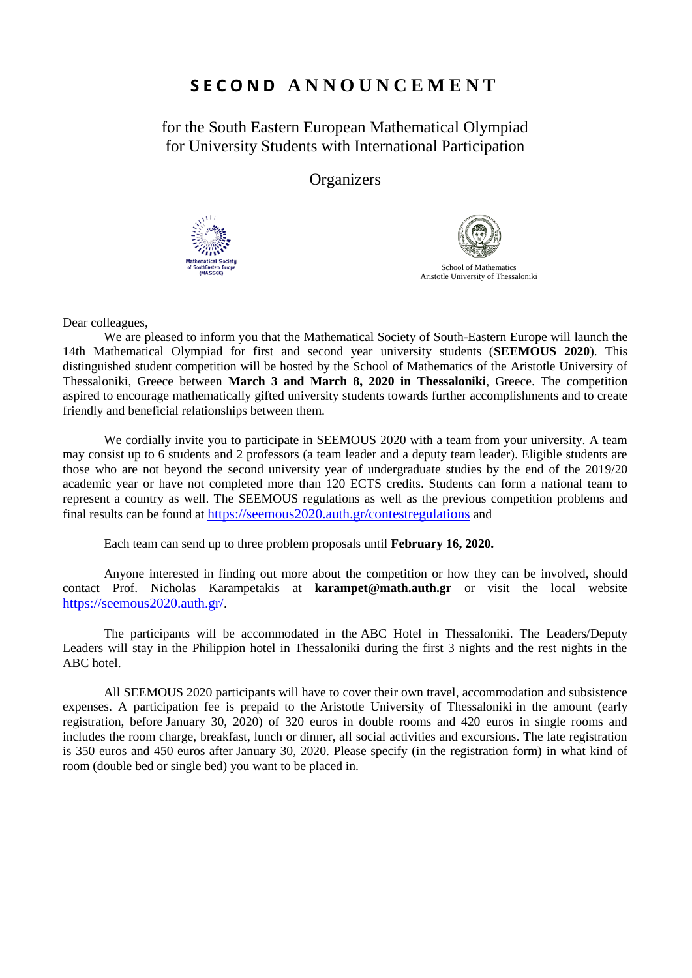## **S E C O N D A N N O U N C E M E N T**

for the South Eastern European Mathematical Olympiad for University Students with International Participation

**Organizers** 





Dear colleagues,

We are pleased to inform you that the Mathematical Society of South-Eastern Europe will launch the 14th Mathematical Olympiad for first and second year university students (**SEEMOUS 2020**). This distinguished student competition will be hosted by the School of Mathematics of the Aristotle University of Thessaloniki, Greece between **March 3 and March 8, 2020 in Thessaloniki**, Greece. The competition aspired to encourage mathematically gifted university students towards further accomplishments and to create friendly and beneficial relationships between them.

We cordially invite you to participate in SEEMOUS 2020 with a team from your university. A team may consist up to 6 students and 2 professors (a team leader and a deputy team leader). Eligible students are those who are not beyond the second university year of undergraduate studies by the end of the 2019/20 academic year or have not completed more than 120 ECTS credits. Students can form a national team to represent a country as well. The SEEMOUS regulations as well as the previous competition problems and final results can be found at <https://seemous2020.auth.gr/contestregulations> and

Each team can send up to three problem proposals until **February 16, 2020.**

Anyone interested in finding out more about the competition or how they can be involved, should contact Prof. Nicholas Karampetakis at **karampet@math.auth.gr** or visit the local website <https://seemous2020.auth.gr/>.

The participants will be accommodated in the ABC Hotel in Thessaloniki. The Leaders/Deputy Leaders will stay in the Philippion hotel in Thessaloniki during the first 3 nights and the rest nights in the ABC hotel.

All SEEMOUS 2020 participants will have to cover their own travel, accommodation and subsistence expenses. A participation fee is prepaid to the Aristotle University of Thessaloniki in the amount (early registration, before January 30, 2020) of 320 euros in double rooms and 420 euros in single rooms and includes the room charge, breakfast, lunch or dinner, all social activities and excursions. The late registration is 350 euros and 450 euros after January 30, 2020. Please specify (in the registration form) in what kind of room (double bed or single bed) you want to be placed in.